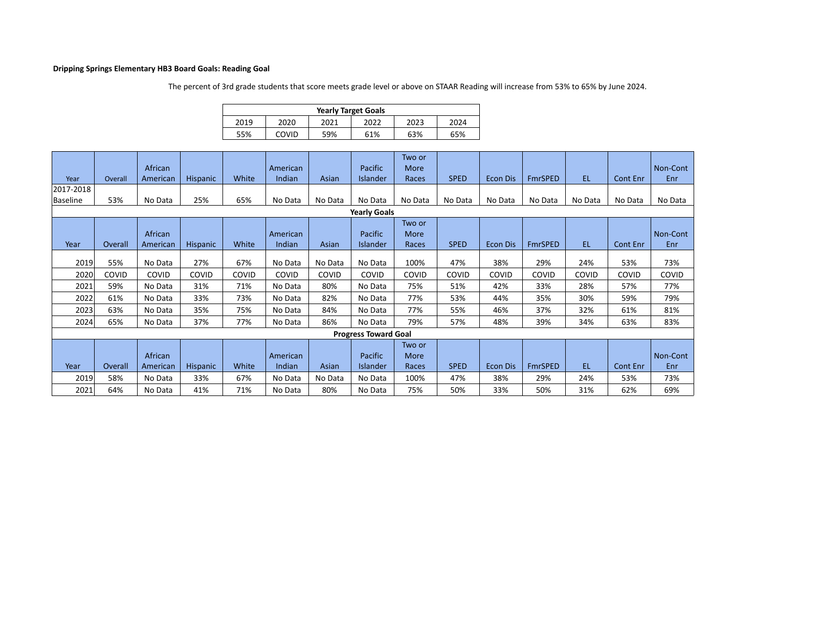## **Dripping Springs Elementary HB3 Board Goals: Reading Goal**

The percent of 3rd grade students that score meets grade level or above on STAAR Reading will increase from 53% to 65% by June 2024.

| <b>Yearly Target Goals</b> |                                      |     |     |     |     |  |  |  |  |  |  |
|----------------------------|--------------------------------------|-----|-----|-----|-----|--|--|--|--|--|--|
| 2019                       | 2020<br>2023<br>2022<br>2021<br>2024 |     |     |     |     |  |  |  |  |  |  |
| 55%                        | COVID                                | 59% | 61% | 63% | 65% |  |  |  |  |  |  |

| Year                | Overall | African<br>American | <b>Hispanic</b> | White | American<br>Indian | Asian   | Pacific<br>Islander         | Two or<br>More<br>Races | <b>SPED</b> | <b>Econ Dis</b> | <b>FmrSPED</b> | EL.     | Cont Enr        | Non-Cont<br>Enr |
|---------------------|---------|---------------------|-----------------|-------|--------------------|---------|-----------------------------|-------------------------|-------------|-----------------|----------------|---------|-----------------|-----------------|
| 2017-2018           |         |                     |                 |       |                    |         |                             |                         |             |                 |                |         |                 |                 |
| <b>Baseline</b>     | 53%     | No Data             | 25%             | 65%   | No Data            | No Data | No Data                     | No Data                 | No Data     | No Data         | No Data        | No Data | No Data         | No Data         |
| <b>Yearly Goals</b> |         |                     |                 |       |                    |         |                             |                         |             |                 |                |         |                 |                 |
|                     |         |                     |                 |       |                    |         |                             | Two or                  |             |                 |                |         |                 |                 |
|                     |         | African             |                 |       | American           |         | Pacific                     | More                    |             |                 |                |         |                 | Non-Cont        |
| Year                | Overall | American            | <b>Hispanic</b> | White | Indian             | Asian   | Islander                    | Races                   | <b>SPED</b> | <b>Econ Dis</b> | <b>FmrSPED</b> | EL.     | <b>Cont Enr</b> | Enr             |
|                     |         |                     |                 |       |                    |         |                             |                         |             |                 |                |         |                 |                 |
| 2019                | 55%     | No Data             | 27%             | 67%   | No Data            | No Data | No Data                     | 100%                    | 47%         | 38%             | 29%            | 24%     | 53%             | 73%             |
| 2020                | COVID   | COVID               | COVID           | COVID | COVID              | COVID   | COVID                       | COVID                   | COVID       | COVID           | COVID          | COVID   | COVID           | COVID           |
| 2021                | 59%     | No Data             | 31%             | 71%   | No Data            | 80%     | No Data                     | 75%                     | 51%         | 42%             | 33%            | 28%     | 57%             | 77%             |
| 2022                | 61%     | No Data             | 33%             | 73%   | No Data            | 82%     | No Data                     | 77%                     | 53%         | 44%             | 35%            | 30%     | 59%             | 79%             |
| 2023                | 63%     | No Data             | 35%             | 75%   | No Data            | 84%     | No Data                     | 77%                     | 55%         | 46%             | 37%            | 32%     | 61%             | 81%             |
| 2024                | 65%     | No Data             | 37%             | 77%   | No Data            | 86%     | No Data                     | 79%                     | 57%         | 48%             | 39%            | 34%     | 63%             | 83%             |
|                     |         |                     |                 |       |                    |         | <b>Progress Toward Goal</b> |                         |             |                 |                |         |                 |                 |
|                     |         |                     |                 |       |                    |         |                             | Two or                  |             |                 |                |         |                 |                 |
|                     |         | African             |                 |       | American           |         | Pacific                     | More                    |             |                 |                |         |                 | Non-Cont        |
| Year                | Overall | American            | <b>Hispanic</b> | White | Indian             | Asian   | <b>Islander</b>             | Races                   | <b>SPED</b> | <b>Econ Dis</b> | <b>FmrSPED</b> | EL.     | Cont Enr        | Enr             |
| 2019                | 58%     | No Data             | 33%             | 67%   | No Data            | No Data | No Data                     | 100%                    | 47%         | 38%             | 29%            | 24%     | 53%             | 73%             |
| 2021                | 64%     | No Data             | 41%             | 71%   | No Data            | 80%     | No Data                     | 75%                     | 50%         | 33%             | 50%            | 31%     | 62%             | 69%             |